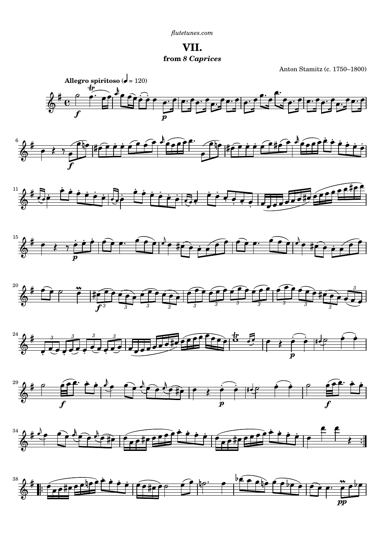*[flutetunes.com](http://www.flutetunes.com)*

**VII. from** *8 Caprices*

6

15

20

24

34

Anton Stamitz (c. 1750–1800)